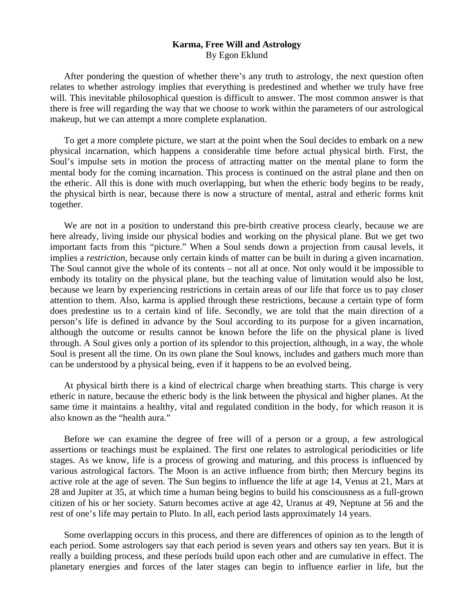## **Karma, Free Will and Astrology**  By Egon Eklund

 After pondering the question of whether there's any truth to astrology, the next question often relates to whether astrology implies that everything is predestined and whether we truly have free will. This inevitable philosophical question is difficult to answer. The most common answer is that there is free will regarding the way that we choose to work within the parameters of our astrological makeup, but we can attempt a more complete explanation.

 To get a more complete picture, we start at the point when the Soul decides to embark on a new physical incarnation, which happens a considerable time before actual physical birth. First, the Soul's impulse sets in motion the process of attracting matter on the mental plane to form the mental body for the coming incarnation. This process is continued on the astral plane and then on the etheric. All this is done with much overlapping, but when the etheric body begins to be ready, the physical birth is near, because there is now a structure of mental, astral and etheric forms knit together.

 We are not in a position to understand this pre-birth creative process clearly, because we are here already, living inside our physical bodies and working on the physical plane. But we get two important facts from this "picture." When a Soul sends down a projection from causal levels, it implies a *restriction*, because only certain kinds of matter can be built in during a given incarnation. The Soul cannot give the whole of its contents – not all at once. Not only would it be impossible to embody its totality on the physical plane, but the teaching value of limitation would also be lost, because we learn by experiencing restrictions in certain areas of our life that force us to pay closer attention to them. Also, karma is applied through these restrictions, because a certain type of form does predestine us to a certain kind of life. Secondly, we are told that the main direction of a person's life is defined in advance by the Soul according to its purpose for a given incarnation, although the outcome or results cannot be known before the life on the physical plane is lived through. A Soul gives only a portion of its splendor to this projection, although, in a way, the whole Soul is present all the time. On its own plane the Soul knows, includes and gathers much more than can be understood by a physical being, even if it happens to be an evolved being.

 At physical birth there is a kind of electrical charge when breathing starts. This charge is very etheric in nature, because the etheric body is the link between the physical and higher planes. At the same time it maintains a healthy, vital and regulated condition in the body, for which reason it is also known as the "health aura."

 Before we can examine the degree of free will of a person or a group, a few astrological assertions or teachings must be explained. The first one relates to astrological periodicities or life stages. As we know, life is a process of growing and maturing, and this process is influenced by various astrological factors. The Moon is an active influence from birth; then Mercury begins its active role at the age of seven. The Sun begins to influence the life at age 14, Venus at 21, Mars at 28 and Jupiter at 35, at which time a human being begins to build his consciousness as a full-grown citizen of his or her society. Saturn becomes active at age 42, Uranus at 49, Neptune at 56 and the rest of one's life may pertain to Pluto. In all, each period lasts approximately 14 years.

 Some overlapping occurs in this process, and there are differences of opinion as to the length of each period. Some astrologers say that each period is seven years and others say ten years. But it is really a building process, and these periods build upon each other and are cumulative in effect. The planetary energies and forces of the later stages can begin to influence earlier in life, but the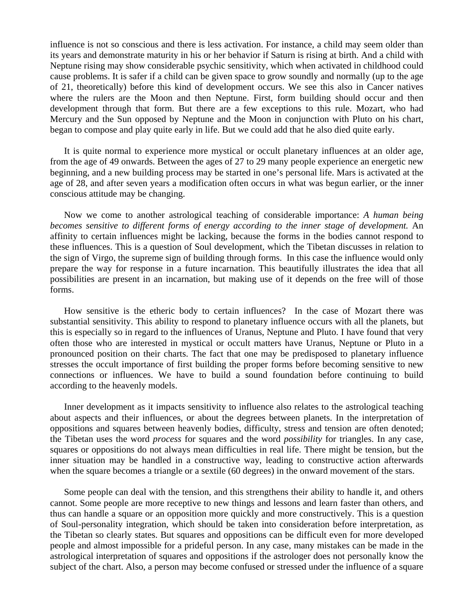influence is not so conscious and there is less activation. For instance, a child may seem older than its years and demonstrate maturity in his or her behavior if Saturn is rising at birth. And a child with Neptune rising may show considerable psychic sensitivity, which when activated in childhood could cause problems. It is safer if a child can be given space to grow soundly and normally (up to the age of 21, theoretically) before this kind of development occurs. We see this also in Cancer natives where the rulers are the Moon and then Neptune. First, form building should occur and then development through that form. But there are a few exceptions to this rule. Mozart, who had Mercury and the Sun opposed by Neptune and the Moon in conjunction with Pluto on his chart, began to compose and play quite early in life. But we could add that he also died quite early.

 It is quite normal to experience more mystical or occult planetary influences at an older age, from the age of 49 onwards. Between the ages of 27 to 29 many people experience an energetic new beginning, and a new building process may be started in one's personal life. Mars is activated at the age of 28, and after seven years a modification often occurs in what was begun earlier, or the inner conscious attitude may be changing.

 Now we come to another astrological teaching of considerable importance: *A human being becomes sensitive to different forms of energy according to the inner stage of development.* An affinity to certain influences might be lacking, because the forms in the bodies cannot respond to these influences. This is a question of Soul development, which the Tibetan discusses in relation to the sign of Virgo, the supreme sign of building through forms. In this case the influence would only prepare the way for response in a future incarnation. This beautifully illustrates the idea that all possibilities are present in an incarnation, but making use of it depends on the free will of those forms.

 How sensitive is the etheric body to certain influences? In the case of Mozart there was substantial sensitivity. This ability to respond to planetary influence occurs with all the planets, but this is especially so in regard to the influences of Uranus, Neptune and Pluto. I have found that very often those who are interested in mystical or occult matters have Uranus, Neptune or Pluto in a pronounced position on their charts. The fact that one may be predisposed to planetary influence stresses the occult importance of first building the proper forms before becoming sensitive to new connections or influences. We have to build a sound foundation before continuing to build according to the heavenly models.

 Inner development as it impacts sensitivity to influence also relates to the astrological teaching about aspects and their influences, or about the degrees between planets. In the interpretation of oppositions and squares between heavenly bodies, difficulty, stress and tension are often denoted; the Tibetan uses the word *process* for squares and the word *possibility* for triangles. In any case, squares or oppositions do not always mean difficulties in real life. There might be tension, but the inner situation may be handled in a constructive way, leading to constructive action afterwards when the square becomes a triangle or a sextile (60 degrees) in the onward movement of the stars.

 Some people can deal with the tension, and this strengthens their ability to handle it, and others cannot. Some people are more receptive to new things and lessons and learn faster than others, and thus can handle a square or an opposition more quickly and more constructively. This is a question of Soul-personality integration, which should be taken into consideration before interpretation, as the Tibetan so clearly states. But squares and oppositions can be difficult even for more developed people and almost impossible for a prideful person. In any case, many mistakes can be made in the astrological interpretation of squares and oppositions if the astrologer does not personally know the subject of the chart. Also, a person may become confused or stressed under the influence of a square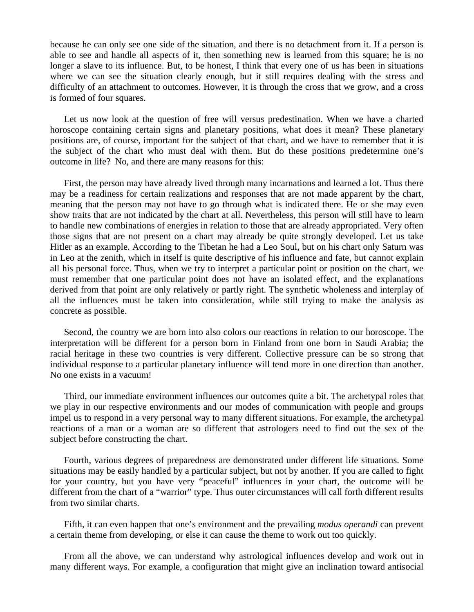because he can only see one side of the situation, and there is no detachment from it. If a person is able to see and handle all aspects of it, then something new is learned from this square; he is no longer a slave to its influence. But, to be honest, I think that every one of us has been in situations where we can see the situation clearly enough, but it still requires dealing with the stress and difficulty of an attachment to outcomes. However, it is through the cross that we grow, and a cross is formed of four squares.

 Let us now look at the question of free will versus predestination. When we have a charted horoscope containing certain signs and planetary positions, what does it mean? These planetary positions are, of course, important for the subject of that chart, and we have to remember that it is the subject of the chart who must deal with them. But do these positions predetermine one's outcome in life? No, and there are many reasons for this:

 First, the person may have already lived through many incarnations and learned a lot. Thus there may be a readiness for certain realizations and responses that are not made apparent by the chart, meaning that the person may not have to go through what is indicated there. He or she may even show traits that are not indicated by the chart at all. Nevertheless, this person will still have to learn to handle new combinations of energies in relation to those that are already appropriated. Very often those signs that are not present on a chart may already be quite strongly developed. Let us take Hitler as an example. According to the Tibetan he had a Leo Soul, but on his chart only Saturn was in Leo at the zenith, which in itself is quite descriptive of his influence and fate, but cannot explain all his personal force. Thus, when we try to interpret a particular point or position on the chart, we must remember that one particular point does not have an isolated effect, and the explanations derived from that point are only relatively or partly right. The synthetic wholeness and interplay of all the influences must be taken into consideration, while still trying to make the analysis as concrete as possible.

 Second, the country we are born into also colors our reactions in relation to our horoscope. The interpretation will be different for a person born in Finland from one born in Saudi Arabia; the racial heritage in these two countries is very different. Collective pressure can be so strong that individual response to a particular planetary influence will tend more in one direction than another. No one exists in a vacuum!

 Third, our immediate environment influences our outcomes quite a bit. The archetypal roles that we play in our respective environments and our modes of communication with people and groups impel us to respond in a very personal way to many different situations. For example, the archetypal reactions of a man or a woman are so different that astrologers need to find out the sex of the subject before constructing the chart.

 Fourth, various degrees of preparedness are demonstrated under different life situations. Some situations may be easily handled by a particular subject, but not by another. If you are called to fight for your country, but you have very "peaceful" influences in your chart, the outcome will be different from the chart of a "warrior" type. Thus outer circumstances will call forth different results from two similar charts.

 Fifth, it can even happen that one's environment and the prevailing *modus operandi* can prevent a certain theme from developing, or else it can cause the theme to work out too quickly.

 From all the above, we can understand why astrological influences develop and work out in many different ways. For example, a configuration that might give an inclination toward antisocial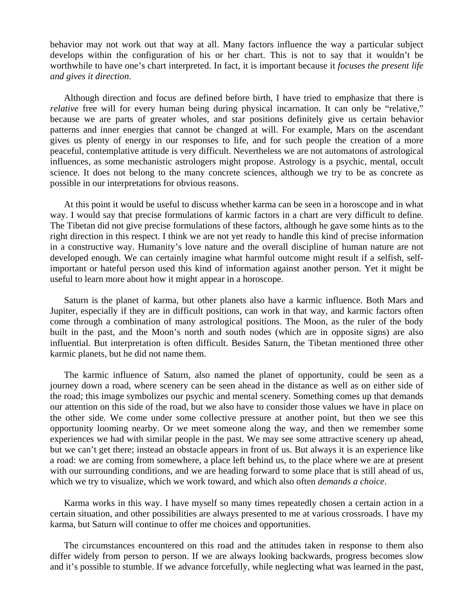behavior may not work out that way at all. Many factors influence the way a particular subject develops within the configuration of his or her chart. This is not to say that it wouldn't be worthwhile to have one's chart interpreted. In fact, it is important because it *focuses the present life and gives it direction*.

 Although direction and focus are defined before birth, I have tried to emphasize that there is *relative* free will for every human being during physical incarnation. It can only be "relative," because we are parts of greater wholes, and star positions definitely give us certain behavior patterns and inner energies that cannot be changed at will. For example, Mars on the ascendant gives us plenty of energy in our responses to life, and for such people the creation of a more peaceful, contemplative attitude is very difficult. Nevertheless we are not automatons of astrological influences, as some mechanistic astrologers might propose. Astrology is a psychic, mental, occult science. It does not belong to the many concrete sciences, although we try to be as concrete as possible in our interpretations for obvious reasons.

 At this point it would be useful to discuss whether karma can be seen in a horoscope and in what way. I would say that precise formulations of karmic factors in a chart are very difficult to define. The Tibetan did not give precise formulations of these factors, although he gave some hints as to the right direction in this respect. I think we are not yet ready to handle this kind of precise information in a constructive way. Humanity's love nature and the overall discipline of human nature are not developed enough. We can certainly imagine what harmful outcome might result if a selfish, selfimportant or hateful person used this kind of information against another person. Yet it might be useful to learn more about how it might appear in a horoscope.

 Saturn is the planet of karma, but other planets also have a karmic influence. Both Mars and Jupiter, especially if they are in difficult positions, can work in that way, and karmic factors often come through a combination of many astrological positions. The Moon, as the ruler of the body built in the past, and the Moon's north and south nodes (which are in opposite signs) are also influential. But interpretation is often difficult. Besides Saturn, the Tibetan mentioned three other karmic planets, but he did not name them.

 The karmic influence of Saturn, also named the planet of opportunity, could be seen as a journey down a road, where scenery can be seen ahead in the distance as well as on either side of the road; this image symbolizes our psychic and mental scenery. Something comes up that demands our attention on this side of the road, but we also have to consider those values we have in place on the other side. We come under some collective pressure at another point, but then we see this opportunity looming nearby. Or we meet someone along the way, and then we remember some experiences we had with similar people in the past. We may see some attractive scenery up ahead, but we can't get there; instead an obstacle appears in front of us. But always it is an experience like a road: we are coming from somewhere, a place left behind us, to the place where we are at present with our surrounding conditions, and we are heading forward to some place that is still ahead of us, which we try to visualize, which we work toward, and which also often *demands a choice*.

 Karma works in this way. I have myself so many times repeatedly chosen a certain action in a certain situation, and other possibilities are always presented to me at various crossroads. I have my karma, but Saturn will continue to offer me choices and opportunities.

 The circumstances encountered on this road and the attitudes taken in response to them also differ widely from person to person. If we are always looking backwards, progress becomes slow and it's possible to stumble. If we advance forcefully, while neglecting what was learned in the past,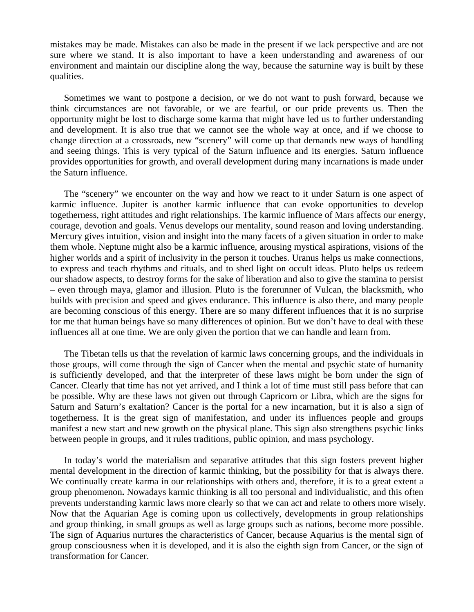mistakes may be made. Mistakes can also be made in the present if we lack perspective and are not sure where we stand. It is also important to have a keen understanding and awareness of our environment and maintain our discipline along the way, because the saturnine way is built by these qualities.

 Sometimes we want to postpone a decision, or we do not want to push forward, because we think circumstances are not favorable, or we are fearful, or our pride prevents us. Then the opportunity might be lost to discharge some karma that might have led us to further understanding and development. It is also true that we cannot see the whole way at once, and if we choose to change direction at a crossroads, new "scenery" will come up that demands new ways of handling and seeing things. This is very typical of the Saturn influence and its energies. Saturn influence provides opportunities for growth, and overall development during many incarnations is made under the Saturn influence.

 The "scenery" we encounter on the way and how we react to it under Saturn is one aspect of karmic influence. Jupiter is another karmic influence that can evoke opportunities to develop togetherness, right attitudes and right relationships. The karmic influence of Mars affects our energy, courage, devotion and goals. Venus develops our mentality, sound reason and loving understanding. Mercury gives intuition, vision and insight into the many facets of a given situation in order to make them whole. Neptune might also be a karmic influence, arousing mystical aspirations, visions of the higher worlds and a spirit of inclusivity in the person it touches. Uranus helps us make connections, to express and teach rhythms and rituals, and to shed light on occult ideas. Pluto helps us redeem our shadow aspects, to destroy forms for the sake of liberation and also to give the stamina to persist – even through maya, glamor and illusion. Pluto is the forerunner of Vulcan, the blacksmith, who builds with precision and speed and gives endurance. This influence is also there, and many people are becoming conscious of this energy. There are so many different influences that it is no surprise for me that human beings have so many differences of opinion. But we don't have to deal with these influences all at one time. We are only given the portion that we can handle and learn from.

 The Tibetan tells us that the revelation of karmic laws concerning groups, and the individuals in those groups, will come through the sign of Cancer when the mental and psychic state of humanity is sufficiently developed, and that the interpreter of these laws might be born under the sign of Cancer. Clearly that time has not yet arrived, and I think a lot of time must still pass before that can be possible. Why are these laws not given out through Capricorn or Libra, which are the signs for Saturn and Saturn's exaltation? Cancer is the portal for a new incarnation, but it is also a sign of togetherness. It is the great sign of manifestation, and under its influences people and groups manifest a new start and new growth on the physical plane. This sign also strengthens psychic links between people in groups, and it rules traditions, public opinion, and mass psychology.

 In today's world the materialism and separative attitudes that this sign fosters prevent higher mental development in the direction of karmic thinking, but the possibility for that is always there. We continually create karma in our relationships with others and, therefore, it is to a great extent a group phenomenon**.** Nowadays karmic thinking is all too personal and individualistic, and this often prevents understanding karmic laws more clearly so that we can act and relate to others more wisely. Now that the Aquarian Age is coming upon us collectively, developments in group relationships and group thinking, in small groups as well as large groups such as nations, become more possible. The sign of Aquarius nurtures the characteristics of Cancer, because Aquarius is the mental sign of group consciousness when it is developed, and it is also the eighth sign from Cancer, or the sign of transformation for Cancer.